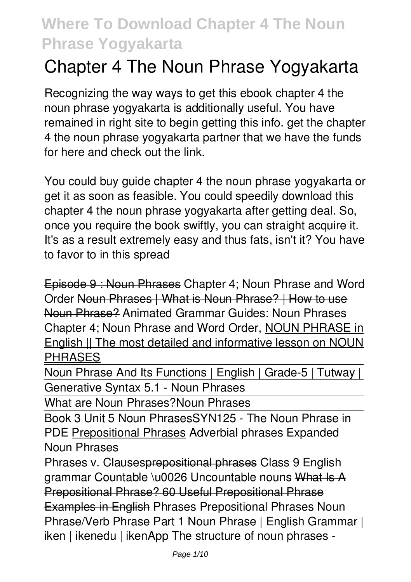# **Chapter 4 The Noun Phrase Yogyakarta**

Recognizing the way ways to get this ebook **chapter 4 the noun phrase yogyakarta** is additionally useful. You have remained in right site to begin getting this info. get the chapter 4 the noun phrase yogyakarta partner that we have the funds for here and check out the link.

You could buy guide chapter 4 the noun phrase yogyakarta or get it as soon as feasible. You could speedily download this chapter 4 the noun phrase yogyakarta after getting deal. So, once you require the book swiftly, you can straight acquire it. It's as a result extremely easy and thus fats, isn't it? You have to favor to in this spread

Episode 9 : Noun Phrases *Chapter 4; Noun Phrase and Word Order* Noun Phrases | What is Noun Phrase? | How to use Noun Phrase? *Animated Grammar Guides: Noun Phrases* **Chapter 4; Noun Phrase and Word Order,** NOUN PHRASE in English || The most detailed and informative lesson on NOUN PHRASES

Noun Phrase And Its Functions | English | Grade-5 | Tutway | Generative Syntax 5.1 - Noun Phrases

What are Noun Phrases?**Noun Phrases**

Book 3 Unit 5 Noun Phrases*SYN125 - The Noun Phrase in PDE* Prepositional Phrases Adverbial phrases *Expanded Noun Phrases*

Phrases v. Clausesprepositional phrases *Class 9 English* grammar Countable \u0026 Uncountable nouns What Is A Prepositional Phrase? 60 Useful Prepositional Phrase Examples in English Phrases *Prepositional Phrases Noun Phrase/Verb Phrase Part 1* Noun Phrase | English Grammar | iken | ikenedu | ikenApp *The structure of noun phrases -*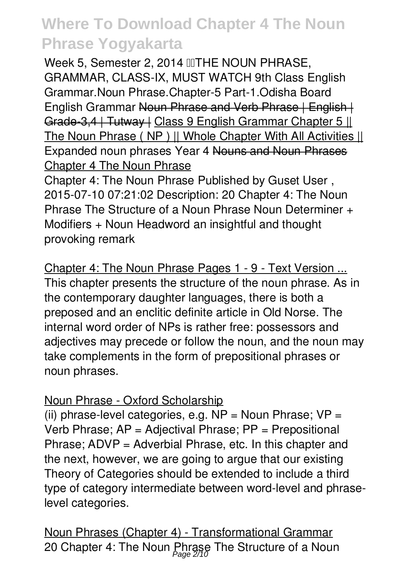*Week 5, Semester 2, 2014 THE NOUN PHRASE, GRAMMAR, CLASS-IX, MUST WATCH 9th Class English Grammar.Noun Phrase.Chapter-5 Part-1.Odisha Board* **English Grammar <del>Noun Phrase and Verb Phrase | English |</del>** Grade-3.4 | Tutway | Class 9 English Grammar Chapter 5 || The Noun Phrase ( NP ) || Whole Chapter With All Activities || *Expanded noun phrases Year 4* Nouns and Noun Phrases Chapter 4 The Noun Phrase

Chapter 4: The Noun Phrase Published by Guset User , 2015-07-10 07:21:02 Description: 20 Chapter 4: The Noun Phrase The Structure of a Noun Phrase Noun Determiner + Modifiers + Noun Headword an insightful and thought provoking remark

Chapter 4: The Noun Phrase Pages 1 - 9 - Text Version ... This chapter presents the structure of the noun phrase. As in the contemporary daughter languages, there is both a preposed and an enclitic definite article in Old Norse. The internal word order of NPs is rather free: possessors and adjectives may precede or follow the noun, and the noun may take complements in the form of prepositional phrases or noun phrases.

### Noun Phrase - Oxford Scholarship

(ii) phrase-level categories, e.g.  $NP = Noun Phrase$ ;  $VP =$ Verb Phrase; AP = Adjectival Phrase; PP = Prepositional Phrase; ADVP = Adverbial Phrase, etc. In this chapter and the next, however, we are going to argue that our existing Theory of Categories should be extended to include a third type of category intermediate between word-level and phraselevel categories.

Noun Phrases (Chapter 4) - Transformational Grammar 20 Chapter 4: The Noun Phrase The Structure of a Noun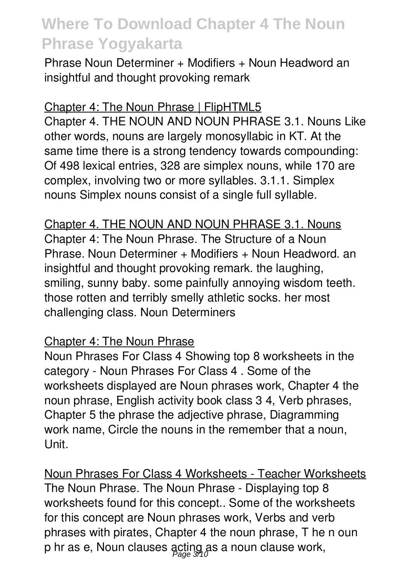Phrase Noun Determiner + Modifiers + Noun Headword an insightful and thought provoking remark

#### Chapter 4: The Noun Phrase | FlipHTML5

Chapter 4. THE NOUN AND NOUN PHRASE 3.1. Nouns Like other words, nouns are largely monosyllabic in KT. At the same time there is a strong tendency towards compounding: Of 498 lexical entries, 328 are simplex nouns, while 170 are complex, involving two or more syllables. 3.1.1. Simplex nouns Simplex nouns consist of a single full syllable.

Chapter 4. THE NOUN AND NOUN PHRASE 3.1. Nouns Chapter 4: The Noun Phrase. The Structure of a Noun Phrase. Noun Determiner + Modifiers + Noun Headword. an insightful and thought provoking remark. the laughing, smiling, sunny baby. some painfully annoying wisdom teeth. those rotten and terribly smelly athletic socks. her most challenging class. Noun Determiners

#### Chapter 4: The Noun Phrase

Noun Phrases For Class 4 Showing top 8 worksheets in the category - Noun Phrases For Class 4 . Some of the worksheets displayed are Noun phrases work, Chapter 4 the noun phrase, English activity book class 3 4, Verb phrases, Chapter 5 the phrase the adjective phrase, Diagramming work name, Circle the nouns in the remember that a noun, Unit.

Noun Phrases For Class 4 Worksheets - Teacher Worksheets The Noun Phrase. The Noun Phrase - Displaying top 8 worksheets found for this concept.. Some of the worksheets for this concept are Noun phrases work, Verbs and verb phrases with pirates, Chapter 4 the noun phrase, T he n oun p hr as e, Noun clauses acting as a noun clause work,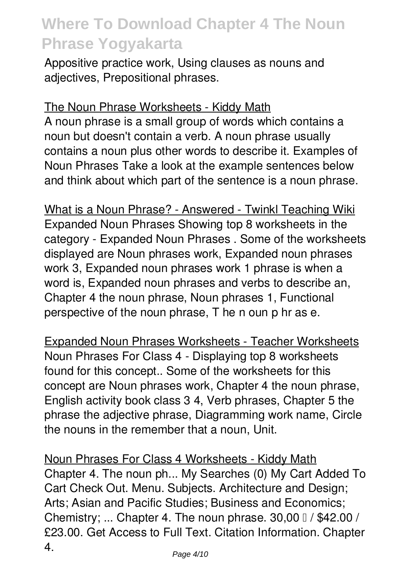Appositive practice work, Using clauses as nouns and adjectives, Prepositional phrases.

#### The Noun Phrase Worksheets - Kiddy Math

A noun phrase is a small group of words which contains a noun but doesn't contain a verb. A noun phrase usually contains a noun plus other words to describe it. Examples of Noun Phrases Take a look at the example sentences below and think about which part of the sentence is a noun phrase.

What is a Noun Phrase? - Answered - Twinkl Teaching Wiki Expanded Noun Phrases Showing top 8 worksheets in the category - Expanded Noun Phrases . Some of the worksheets displayed are Noun phrases work, Expanded noun phrases work 3, Expanded noun phrases work 1 phrase is when a word is, Expanded noun phrases and verbs to describe an, Chapter 4 the noun phrase, Noun phrases 1, Functional perspective of the noun phrase, T he n oun p hr as e.

Expanded Noun Phrases Worksheets - Teacher Worksheets Noun Phrases For Class 4 - Displaying top 8 worksheets found for this concept.. Some of the worksheets for this concept are Noun phrases work, Chapter 4 the noun phrase, English activity book class 3 4, Verb phrases, Chapter 5 the phrase the adjective phrase, Diagramming work name, Circle the nouns in the remember that a noun, Unit.

Noun Phrases For Class 4 Worksheets - Kiddy Math Chapter 4. The noun ph... My Searches (0) My Cart Added To Cart Check Out. Menu. Subjects. Architecture and Design; Arts; Asian and Pacific Studies; Business and Economics; Chemistry; ... Chapter 4. The noun phrase.  $30,00 \, \text{J}$  / \$42.00 / £23.00. Get Access to Full Text. Citation Information. Chapter 4.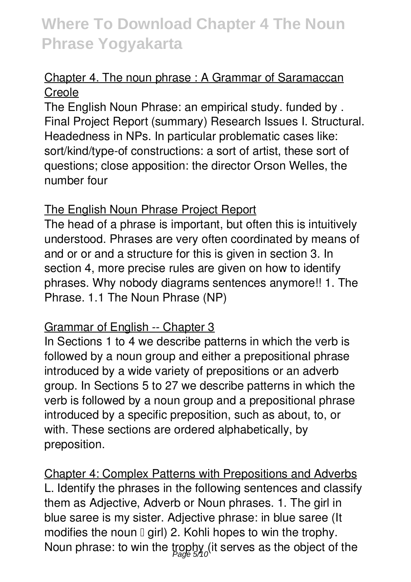### Chapter 4. The noun phrase : A Grammar of Saramaccan Creole

The English Noun Phrase: an empirical study. funded by . Final Project Report (summary) Research Issues I. Structural. Headedness in NPs. In particular problematic cases like: sort/kind/type-of constructions: a sort of artist, these sort of questions; close apposition: the director Orson Welles, the number four

#### The English Noun Phrase Project Report

The head of a phrase is important, but often this is intuitively understood. Phrases are very often coordinated by means of and or or and a structure for this is given in section 3. In section 4, more precise rules are given on how to identify phrases. Why nobody diagrams sentences anymore!! 1. The Phrase. 1.1 The Noun Phrase (NP)

### Grammar of English -- Chapter 3

In Sections 1 to 4 we describe patterns in which the verb is followed by a noun group and either a prepositional phrase introduced by a wide variety of prepositions or an adverb group. In Sections 5 to 27 we describe patterns in which the verb is followed by a noun group and a prepositional phrase introduced by a specific preposition, such as about, to, or with. These sections are ordered alphabetically, by preposition.

Chapter 4: Complex Patterns with Prepositions and Adverbs L. Identify the phrases in the following sentences and classify them as Adjective, Adverb or Noun phrases. 1. The girl in blue saree is my sister. Adjective phrase: in blue saree (It modifies the noun  $\mathbb I$  girl) 2. Kohli hopes to win the trophy. Noun phrase: to win the trophy (it serves as the object of the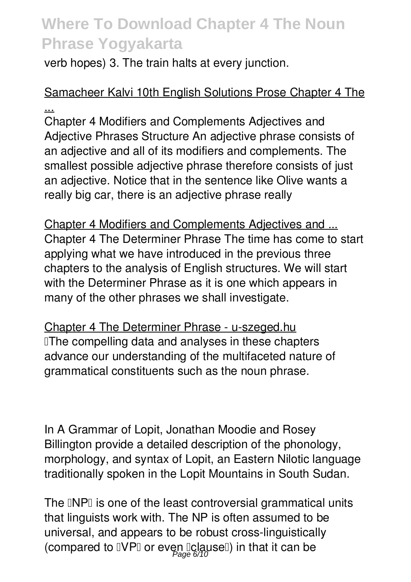verb hopes) 3. The train halts at every junction.

### Samacheer Kalvi 10th English Solutions Prose Chapter 4 The ...

Chapter 4 Modifiers and Complements Adjectives and Adjective Phrases Structure An adjective phrase consists of an adjective and all of its modifiers and complements. The smallest possible adjective phrase therefore consists of just an adjective. Notice that in the sentence like Olive wants a really big car, there is an adjective phrase really

Chapter 4 Modifiers and Complements Adjectives and ... Chapter 4 The Determiner Phrase The time has come to start applying what we have introduced in the previous three chapters to the analysis of English structures. We will start with the Determiner Phrase as it is one which appears in many of the other phrases we shall investigate.

Chapter 4 The Determiner Phrase - u-szeged.hu **The compelling data and analyses in these chapters** advance our understanding of the multifaceted nature of grammatical constituents such as the noun phrase.

In A Grammar of Lopit, Jonathan Moodie and Rosey Billington provide a detailed description of the phonology, morphology, and syntax of Lopit, an Eastern Nilotic language traditionally spoken in the Lopit Mountains in South Sudan.

The INPI is one of the least controversial grammatical units that linguists work with. The NP is often assumed to be universal, and appears to be robust cross-linguistically (compared to  $\mathbb{I}\mathsf{VP}\mathbb{I}$  or even  $\mathbb{I}$ clause $\mathbb{I})$  in that it can be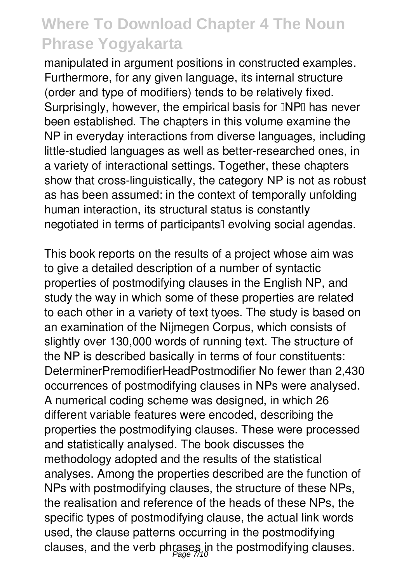manipulated in argument positions in constructed examples. Furthermore, for any given language, its internal structure (order and type of modifiers) tends to be relatively fixed. Surprisingly, however, the empirical basis for **INPI** has never been established. The chapters in this volume examine the NP in everyday interactions from diverse languages, including little-studied languages as well as better-researched ones, in a variety of interactional settings. Together, these chapters show that cross-linguistically, the category NP is not as robust as has been assumed: in the context of temporally unfolding human interaction, its structural status is constantly negotiated in terms of participants<sup>[]</sup> evolving social agendas.

This book reports on the results of a project whose aim was to give a detailed description of a number of syntactic properties of postmodifying clauses in the English NP, and study the way in which some of these properties are related to each other in a variety of text tyoes. The study is based on an examination of the Nijmegen Corpus, which consists of slightly over 130,000 words of running text. The structure of the NP is described basically in terms of four constituents: DeterminerPremodifierHeadPostmodifier No fewer than 2,430 occurrences of postmodifying clauses in NPs were analysed. A numerical coding scheme was designed, in which 26 different variable features were encoded, describing the properties the postmodifying clauses. These were processed and statistically analysed. The book discusses the methodology adopted and the results of the statistical analyses. Among the properties described are the function of NPs with postmodifying clauses, the structure of these NPs, the realisation and reference of the heads of these NPs, the specific types of postmodifying clause, the actual link words used, the clause patterns occurring in the postmodifying clauses, and the verb phrases in the postmodifying clauses.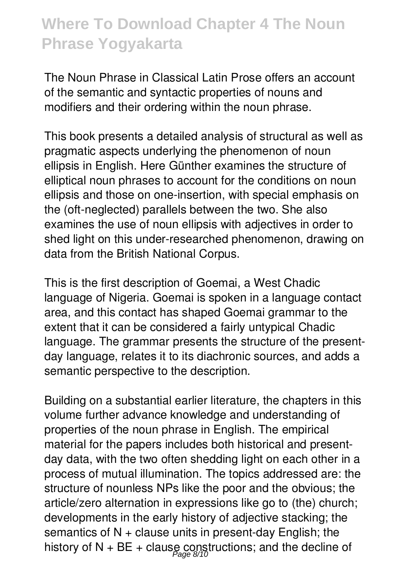The Noun Phrase in Classical Latin Prose offers an account of the semantic and syntactic properties of nouns and modifiers and their ordering within the noun phrase.

This book presents a detailed analysis of structural as well as pragmatic aspects underlying the phenomenon of noun ellipsis in English. Here Günther examines the structure of elliptical noun phrases to account for the conditions on noun ellipsis and those on one-insertion, with special emphasis on the (oft-neglected) parallels between the two. She also examines the use of noun ellipsis with adjectives in order to shed light on this under-researched phenomenon, drawing on data from the British National Corpus.

This is the first description of Goemai, a West Chadic language of Nigeria. Goemai is spoken in a language contact area, and this contact has shaped Goemai grammar to the extent that it can be considered a fairly untypical Chadic language. The grammar presents the structure of the presentday language, relates it to its diachronic sources, and adds a semantic perspective to the description.

Building on a substantial earlier literature, the chapters in this volume further advance knowledge and understanding of properties of the noun phrase in English. The empirical material for the papers includes both historical and presentday data, with the two often shedding light on each other in a process of mutual illumination. The topics addressed are: the structure of nounless NPs like the poor and the obvious; the article/zero alternation in expressions like go to (the) church; developments in the early history of adjective stacking; the semantics of  $N +$  clause units in present-day English; the history of N + BE + clause constructions; and the decline of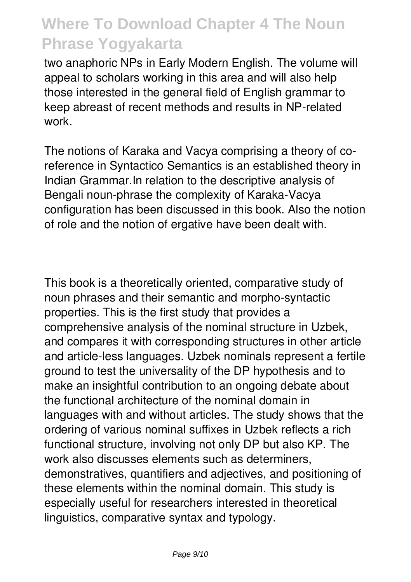two anaphoric NPs in Early Modern English. The volume will appeal to scholars working in this area and will also help those interested in the general field of English grammar to keep abreast of recent methods and results in NP-related work.

The notions of Karaka and Vacya comprising a theory of coreference in Syntactico Semantics is an established theory in Indian Grammar.In relation to the descriptive analysis of Bengali noun-phrase the complexity of Karaka-Vacya configuration has been discussed in this book. Also the notion of role and the notion of ergative have been dealt with.

This book is a theoretically oriented, comparative study of noun phrases and their semantic and morpho-syntactic properties. This is the first study that provides a comprehensive analysis of the nominal structure in Uzbek, and compares it with corresponding structures in other article and article-less languages. Uzbek nominals represent a fertile ground to test the universality of the DP hypothesis and to make an insightful contribution to an ongoing debate about the functional architecture of the nominal domain in languages with and without articles. The study shows that the ordering of various nominal suffixes in Uzbek reflects a rich functional structure, involving not only DP but also KP. The work also discusses elements such as determiners, demonstratives, quantifiers and adjectives, and positioning of these elements within the nominal domain. This study is especially useful for researchers interested in theoretical linguistics, comparative syntax and typology.